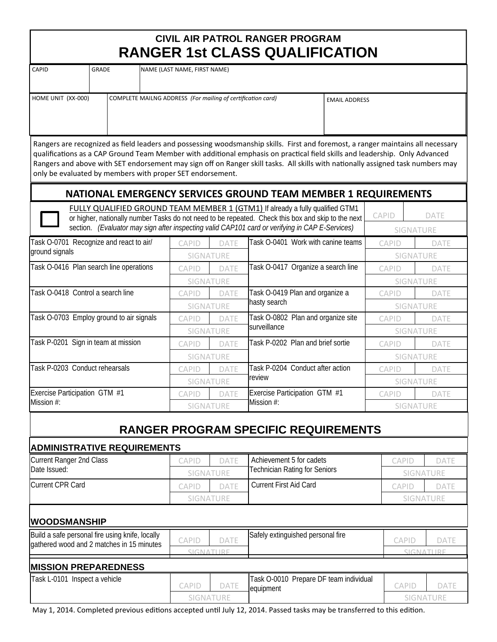| CIVIL AIR PATROL RANGER PROGRAM       |
|---------------------------------------|
| <b>RANGER 1st CLASS QUALIFICATION</b> |

|                                                           |              |                                    |                                                             |                                  | <b>RANGER 1St CLASS QUALIFICATION</b>                                                                                                                                                                                                                                                                                                                                                              |                      |                                  |           |             |
|-----------------------------------------------------------|--------------|------------------------------------|-------------------------------------------------------------|----------------------------------|----------------------------------------------------------------------------------------------------------------------------------------------------------------------------------------------------------------------------------------------------------------------------------------------------------------------------------------------------------------------------------------------------|----------------------|----------------------------------|-----------|-------------|
| CAPID                                                     | <b>GRADE</b> |                                    | NAME (LAST NAME, FIRST NAME)                                |                                  |                                                                                                                                                                                                                                                                                                                                                                                                    |                      |                                  |           |             |
| HOME UNIT (XX-000)                                        |              |                                    | COMPLETE MAILNG ADDRESS (For mailing of certification card) |                                  |                                                                                                                                                                                                                                                                                                                                                                                                    | <b>EMAIL ADDRESS</b> |                                  |           |             |
|                                                           |              |                                    |                                                             |                                  |                                                                                                                                                                                                                                                                                                                                                                                                    |                      |                                  |           |             |
|                                                           |              |                                    | only be evaluated by members with proper SET endorsement.   |                                  | Rangers are recognized as field leaders and possessing woodsmanship skills. First and foremost, a ranger maintains all necessary<br>qualifications as a CAP Ground Team Member with additional emphasis on practical field skills and leadership. Only Advanced<br>Rangers and above with SET endorsement may sign off on Ranger skill tasks. All skills with nationally assigned task numbers may |                      |                                  |           |             |
|                                                           |              |                                    |                                                             |                                  | NATIONAL EMERGENCY SERVICES GROUND TEAM MEMBER 1 REQUIREMENTS                                                                                                                                                                                                                                                                                                                                      |                      |                                  |           |             |
|                                                           |              |                                    |                                                             |                                  | FULLY QUALIFIED GROUND TEAM MEMBER 1 (GTM1) If already a fully qualified GTM1<br>or higher, nationally number Tasks do not need to be repeated. Check this box and skip to the next                                                                                                                                                                                                                |                      | CAPID                            |           | DATE        |
|                                                           |              |                                    |                                                             |                                  | section. (Evaluator may sign after inspecting valid CAP101 card or verifying in CAP E-Services)                                                                                                                                                                                                                                                                                                    |                      |                                  | SIGNATURE |             |
| Task O-0701 Recognize and react to air/<br>ground signals |              |                                    | CAPID                                                       | DATE<br><b>SIGNATURE</b>         | Task O-0401 Work with canine teams                                                                                                                                                                                                                                                                                                                                                                 |                      | <b>CAPID</b><br><b>SIGNATURE</b> |           | DATE        |
| Task O-0416 Plan search line operations                   |              |                                    | <b>CAPID</b>                                                | <b>DATE</b>                      | Task O-0417 Organize a search line                                                                                                                                                                                                                                                                                                                                                                 |                      | <b>CAPID</b>                     |           | <b>DATE</b> |
|                                                           |              |                                    |                                                             | <b>SIGNATURE</b>                 |                                                                                                                                                                                                                                                                                                                                                                                                    |                      |                                  | SIGNATURE |             |
| Task O-0418 Control a search line                         |              |                                    | CAPID                                                       | DATE                             | Task O-0419 Plan and organize a<br>hasty search                                                                                                                                                                                                                                                                                                                                                    |                      | CAPID                            |           | <b>DATE</b> |
|                                                           |              |                                    |                                                             | SIGNATURE                        |                                                                                                                                                                                                                                                                                                                                                                                                    |                      | SIGNATURE                        |           |             |
| Task O-0703 Employ ground to air signals                  |              |                                    | CAPID                                                       | <b>DATE</b>                      | Task O-0802 Plan and organize site                                                                                                                                                                                                                                                                                                                                                                 |                      | CAPID                            |           | DATE        |
|                                                           |              |                                    |                                                             | SIGNATURE                        | surveillance                                                                                                                                                                                                                                                                                                                                                                                       |                      | SIGNATURE                        |           |             |
| Task P-0201 Sign in team at mission                       |              |                                    | <b>CAPID</b>                                                | <b>DATE</b>                      | Task P-0202 Plan and brief sortie                                                                                                                                                                                                                                                                                                                                                                  |                      | <b>CAPID</b>                     |           | DATE        |
|                                                           |              |                                    |                                                             | SIGNATURE                        |                                                                                                                                                                                                                                                                                                                                                                                                    |                      |                                  | SIGNATURE |             |
| Task P-0203 Conduct rehearsals                            |              | CAPID                              | DATE                                                        | Task P-0204 Conduct after action |                                                                                                                                                                                                                                                                                                                                                                                                    | <b>CAPID</b>         |                                  | DATE      |             |
|                                                           |              |                                    |                                                             | SIGNATURE                        | review                                                                                                                                                                                                                                                                                                                                                                                             |                      |                                  | SIGNATURE |             |
| Exercise Participation GTM #1                             |              | <b>CAPID</b>                       | <b>DATE</b>                                                 | Exercise Participation GTM #1    |                                                                                                                                                                                                                                                                                                                                                                                                    | <b>CAPID</b>         |                                  | DATE      |             |
| Mission #:                                                |              |                                    |                                                             | SIGNATURE                        | Mission #:                                                                                                                                                                                                                                                                                                                                                                                         |                      | SIGNATURE                        |           |             |
|                                                           |              |                                    |                                                             |                                  | <b>RANGER PROGRAM SPECIFIC REQUIREMENTS</b>                                                                                                                                                                                                                                                                                                                                                        |                      |                                  |           |             |
|                                                           |              | <b>ADMINISTRATIVE REQUIREMENTS</b> |                                                             |                                  |                                                                                                                                                                                                                                                                                                                                                                                                    |                      |                                  |           |             |
| <b>Current Ranger 2nd Class</b>                           |              |                                    | CAPID                                                       | DATE                             | Achievement 5 for cadets                                                                                                                                                                                                                                                                                                                                                                           |                      | CAPID                            |           | DATE        |
| Date Issued:                                              |              |                                    |                                                             | SIGNATURE                        | <b>Technician Rating for Seniors</b>                                                                                                                                                                                                                                                                                                                                                               |                      |                                  |           | SIGNATURE   |
| <b>Current CPR Card</b>                                   |              |                                    | <b>CAPID</b>                                                | DATE                             | <b>Current First Aid Card</b>                                                                                                                                                                                                                                                                                                                                                                      |                      | CAPID                            |           | <b>DATE</b> |
|                                                           |              |                                    |                                                             | SIGNATURE                        |                                                                                                                                                                                                                                                                                                                                                                                                    |                      |                                  |           | SIGNATURE   |

## **WOODSMANSHIP**

| Build a safe personal fire using knife, locally<br>gathered wood and 2 matches in 15 minutes | CAPID | <b>DATE</b> | Safely extinguished personal fire                   | CAPID            | <b>DATE</b> |
|----------------------------------------------------------------------------------------------|-------|-------------|-----------------------------------------------------|------------------|-------------|
|                                                                                              |       |             |                                                     |                  |             |
| <b>MISSION PREPAREDNESS</b>                                                                  |       |             |                                                     |                  |             |
| Task L-0101 Inspect a vehicle                                                                | CAPID | DATE        | Task O-0010 Prepare DF team individual<br>equipment | CAPID            | DATE        |
|                                                                                              |       | SIGNATURE   |                                                     | <b>SIGNATURE</b> |             |

May 1, 2014. Completed previous editions accepted until July 12, 2014. Passed tasks may be transferred to this edition.